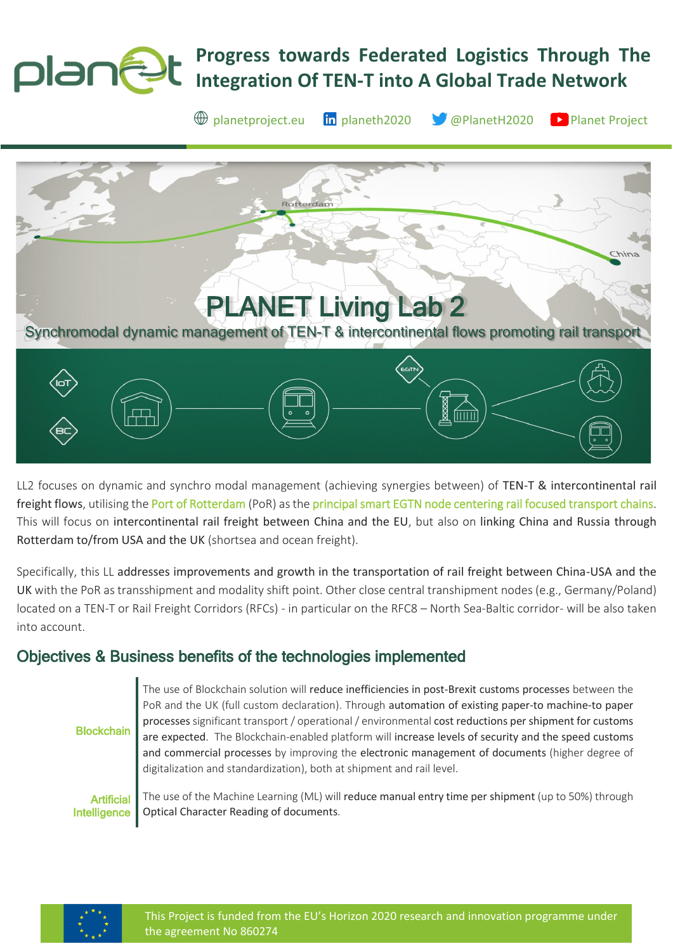## **Progress towards Federated Logistics Through The**  plantat **Integration Of TEN-T into A Global Trade Network**



LL2 focuses on dynamic and synchro modal management (achieving synergies between) of TEN-T & intercontinental rail freight flows, utilising the Port of Rotterdam (PoR) as the principal smart EGTN node centering rail focused transport chains. This will focus on intercontinental rail freight between China and the EU, but also on linking China and Russia through Rotterdam to/from USA and the UK (shortsea and ocean freight).

Specifically, this LL addresses improvements and growth in the transportation of rail freight between China-USA and the UK with the PoR as transshipment and modality shift point. Other close central transhipment nodes (e.g., Germany/Poland) located on a TEN-T or Rail Freight Corridors (RFCs) - in particular on the RFC8 – North Sea-Baltic corridor- will be also taken into account.

# Objectives & Business benefits of the technologies implemented

**Blockchain** 

The use of Blockchain solution will reduce inefficiencies in post-Brexit customs processes between the PoR and the UK (full custom declaration). Through automation of existing paper-to machine-to paper processes significant transport / operational / environmental cost reductions per shipment for customs are expected. The Blockchain-enabled platform will increase levels of security and the speed customs and commercial processes by improving the electronic management of documents (higher degree of digitalization and standardization), both at shipment and rail level.

Artificial Intelligence The use of the Machine Learning (ML) will reduce manual entry time per shipment (up to 50%) through Optical Character Reading of documents.

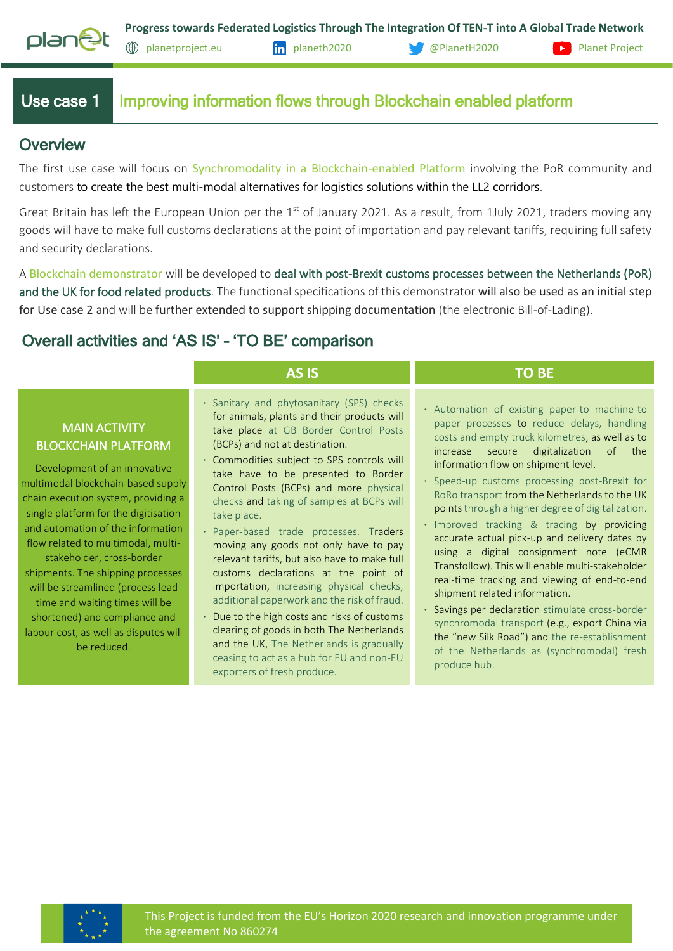

## Use case 1 Improving information flows through Blockchain enabled platform

### **Overview**

The first use case will focus on Synchromodality in a Blockchain-enabled Platform involving the PoR community and customers to create the best multi-modal alternatives for logistics solutions within the LL2 corridors.

Great Britain has left the European Union per the  $1<sup>st</sup>$  of January 2021. As a result, from 1July 2021, traders moving any goods will have to make full customs declarations at the point of importation and pay relevant tariffs, requiring full safety and security declarations.

A Blockchain demonstrator will be developed to deal with post-Brexit customs processes between the Netherlands (PoR) and the UK for food related products. The functional specifications of this demonstrator will also be used as an initial step for Use case 2 and will be further extended to support shipping documentation (the electronic Bill-of-Lading).

## Overall activities and 'AS IS' – 'TO BE' comparison

### MAIN ACTIVITY BLOCKCHAIN PLATFORM

Development of an innovative multimodal blockchain-based supply chain execution system, providing a single platform for the digitisation and automation of the information flow related to multimodal, multistakeholder, cross-border shipments. The shipping processes will be streamlined (process lead time and waiting times will be shortened) and compliance and labour cost, as well as disputes will be reduced.

- **∙** Sanitary and phytosanitary (SPS) checks for animals, plants and their products will take place at GB Border Control Posts (BCPs) and not at destination.
- **∙** Commodities subject to SPS controls will take have to be presented to Border Control Posts (BCPs) and more physical checks and taking of samples at BCPs will take place.
- **∙** Paper-based trade processes. Traders moving any goods not only have to pay relevant tariffs, but also have to make full customs declarations at the point of importation, increasing physical checks, additional paperwork and the risk of fraud.
- **∙** Due to the high costs and risks of customs clearing of goods in both The Netherlands and the UK, The Netherlands is gradually ceasing to act as a hub for EU and non-EU exporters of fresh produce.

#### **AS IS TO BE**

- **∙** Automation of existing paper-to machine-to paper processes to reduce delays, handling costs and empty truck kilometres, as well as to increase secure digitalization of the information flow on shipment level.
- **∙** Speed-up customs processing post-Brexit for RoRo transport from the Netherlands to the UK points through a higher degree of digitalization.
- **∙** Improved tracking & tracing by providing accurate actual pick-up and delivery dates by using a digital consignment note (eCMR Transfollow). This will enable multi-stakeholder real-time tracking and viewing of end-to-end shipment related information.
- **∙** Savings per declaration stimulate cross-border synchromodal transport (e.g., export China via the "new Silk Road") and the re-establishment of the Netherlands as (synchromodal) fresh produce hub.

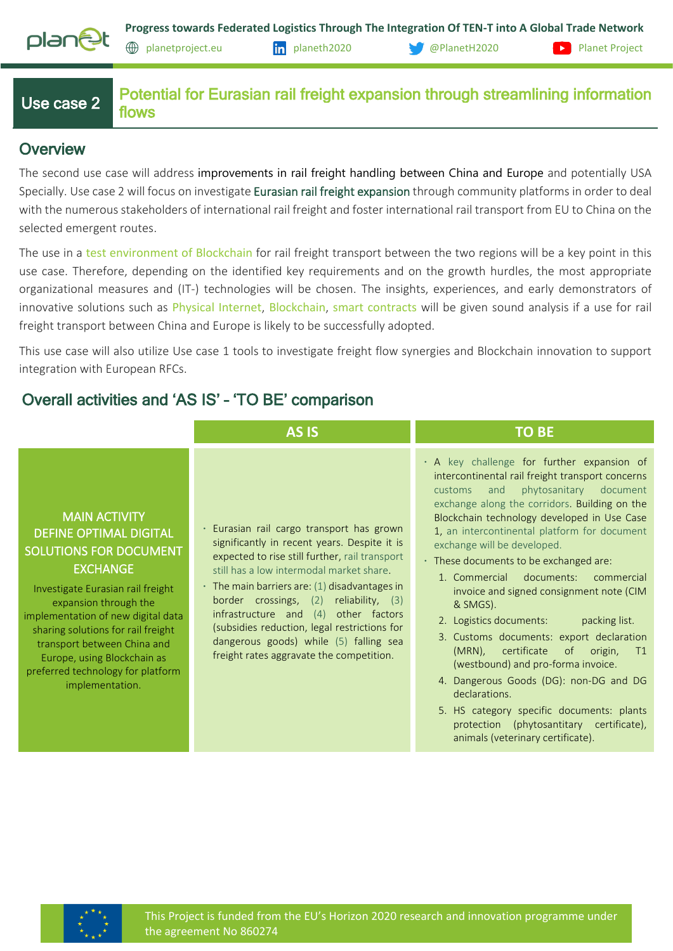

[planetproject.eu](https://www.planetproject.eu/) [planeth2020](https://www.linkedin.com/company/planeth2020) [@PlanetH2020](https://twitter.com/PlanetH2020) [Planet Project](https://www.youtube.com/channel/UC5uIbN3KYkK_yx_tcnz8-wg)

## Use case 2

Potential for Eurasian rail freight expansion through streamlining information flows

## **Overview**

The second use case will address improvements in rail freight handling between China and Europe and potentially USA Specially. Use case 2 will focus on investigate Eurasian rail freight expansion through community platforms in order to deal with the numerous stakeholders of international rail freight and foster international rail transport from EU to China on the selected emergent routes.

The use in a test environment of Blockchain for rail freight transport between the two regions will be a key point in this use case. Therefore, depending on the identified key requirements and on the growth hurdles, the most appropriate organizational measures and (IT-) technologies will be chosen. The insights, experiences, and early demonstrators of innovative solutions such as Physical Internet, Blockchain, smart contracts will be given sound analysis if a use for rail freight transport between China and Europe is likely to be successfully adopted.

This use case will also utilize Use case 1 tools to investigate freight flow synergies and Blockchain innovation to support integration with European RFCs.

# Overall activities and 'AS IS' – 'TO BE' comparison

|                                                                                                                                                                                                                                                                                                                                                                           | <b>AS IS</b>                                                                                                                                                                                                                                                                                                                                                                                                                                                           | <b>TO BE</b>                                                                                                                                                                                                                                                                                                                                                                                                                                                                                                                                                                                                                                                                                                                                                                                                                                 |
|---------------------------------------------------------------------------------------------------------------------------------------------------------------------------------------------------------------------------------------------------------------------------------------------------------------------------------------------------------------------------|------------------------------------------------------------------------------------------------------------------------------------------------------------------------------------------------------------------------------------------------------------------------------------------------------------------------------------------------------------------------------------------------------------------------------------------------------------------------|----------------------------------------------------------------------------------------------------------------------------------------------------------------------------------------------------------------------------------------------------------------------------------------------------------------------------------------------------------------------------------------------------------------------------------------------------------------------------------------------------------------------------------------------------------------------------------------------------------------------------------------------------------------------------------------------------------------------------------------------------------------------------------------------------------------------------------------------|
| <b>MAIN ACTIVITY</b><br><b>DEFINE OPTIMAL DIGITAL</b><br><b>SOLUTIONS FOR DOCUMENT</b><br><b>EXCHANGE</b><br>Investigate Eurasian rail freight<br>expansion through the<br>implementation of new digital data<br>sharing solutions for rail freight<br>transport between China and<br>Europe, using Blockchain as<br>preferred technology for platform<br>implementation. | · Eurasian rail cargo transport has grown<br>significantly in recent years. Despite it is<br>expected to rise still further, rail transport<br>still has a low intermodal market share.<br>$\cdot$ The main barriers are: (1) disadvantages in<br>border crossings, (2) reliability, (3)<br>infrastructure and (4) other factors<br>(subsidies reduction, legal restrictions for<br>dangerous goods) while (5) falling sea<br>freight rates aggravate the competition. | . A key challenge for further expansion of<br>intercontinental rail freight transport concerns<br>phytosanitary document<br>and<br>customs<br>exchange along the corridors. Building on the<br>Blockchain technology developed in Use Case<br>1, an intercontinental platform for document<br>exchange will be developed.<br>· These documents to be exchanged are:<br>1. Commercial documents:<br>commercial<br>invoice and signed consignment note (CIM<br>& SMGS).<br>2. Logistics documents:<br>packing list.<br>3. Customs documents: export declaration<br>certificate of<br>$(MRN)$ ,<br>origin,<br>T1<br>(westbound) and pro-forma invoice.<br>4. Dangerous Goods (DG): non-DG and DG<br>declarations.<br>5. HS category specific documents: plants<br>protection (phytosantitary certificate),<br>animals (veterinary certificate). |